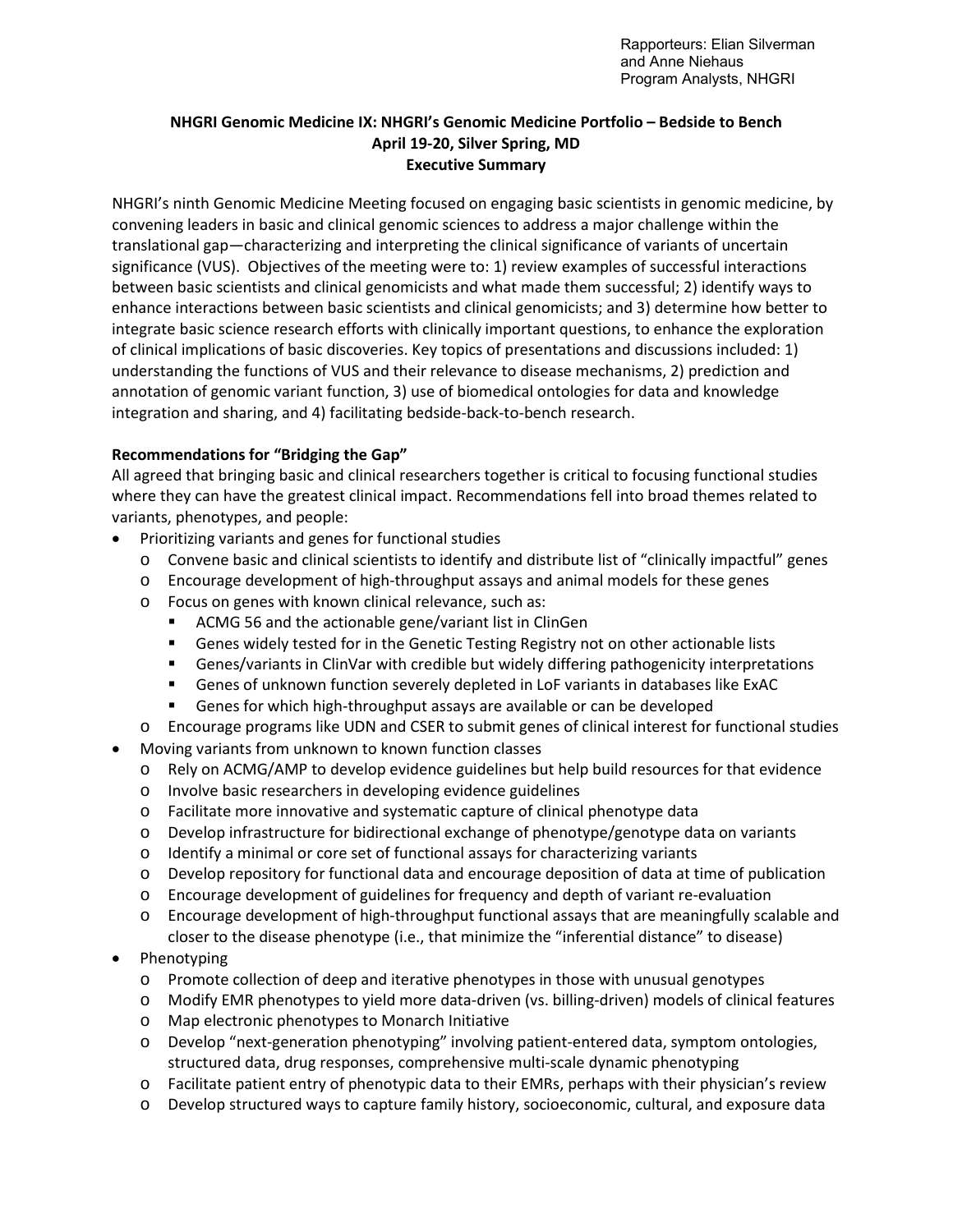## **NHGRI Genomic Medicine IX: NHGRI's Genomic Medicine Portfolio – Bedside to Bench April 19-20, Silver Spring, MD Executive Summary**

NHGRI's ninth Genomic Medicine Meeting focused on engaging basic scientists in genomic medicine, by convening leaders in basic and clinical genomic sciences to address a major challenge within the translational gap—characterizing and interpreting the clinical significance of variants of uncertain significance (VUS). Objectives of the meeting were to: 1) review examples of successful interactions between basic scientists and clinical genomicists and what made them successful; 2) identify ways to enhance interactions between basic scientists and clinical genomicists; and 3) determine how better to integrate basic science research efforts with clinically important questions, to enhance the exploration of clinical implications of basic discoveries. Key topics of presentations and discussions included: 1) understanding the functions of VUS and their relevance to disease mechanisms, 2) prediction and annotation of genomic variant function, 3) use of biomedical ontologies for data and knowledge integration and sharing, and 4) facilitating bedside-back-to-bench research.

## **Recommendations for "Bridging the Gap"**

All agreed that bringing basic and clinical researchers together is critical to focusing functional studies where they can have the greatest clinical impact. Recommendations fell into broad themes related to variants, phenotypes, and people:

- Prioritizing variants and genes for functional studies
	- o Convene basic and clinical scientists to identify and distribute list of "clinically impactful" genes
	- o Encourage development of high-throughput assays and animal models for these genes
	- o Focus on genes with known clinical relevance, such as:
		- ACMG 56 and the actionable gene/variant list in ClinGen
		- Genes widely tested for in the Genetic Testing Registry not on other actionable lists
		- Genes/variants in ClinVar with credible but widely differing pathogenicity interpretations
		- Genes of unknown function severely depleted in LoF variants in databases like ExAC
		- Genes for which high-throughput assays are available or can be developed
	- o Encourage programs like UDN and CSER to submit genes of clinical interest for functional studies
- Moving variants from unknown to known function classes
	- o Rely on ACMG/AMP to develop evidence guidelines but help build resources for that evidence
	- o Involve basic researchers in developing evidence guidelines
	- o Facilitate more innovative and systematic capture of clinical phenotype data
	- $\circ$  Develop infrastructure for bidirectional exchange of phenotype/genotype data on variants
	- o Identify a minimal or core set of functional assays for characterizing variants
	- o Develop repository for functional data and encourage deposition of data at time of publication
	- o Encourage development of guidelines for frequency and depth of variant re-evaluation
	- o Encourage development of high-throughput functional assays that are meaningfully scalable and closer to the disease phenotype (i.e., that minimize the "inferential distance" to disease)
- **Phenotyping** 
	- o Promote collection of deep and iterative phenotypes in those with unusual genotypes
	- o Modify EMR phenotypes to yield more data-driven (vs. billing-driven) models of clinical features
	- o Map electronic phenotypes to Monarch Initiative
	- o Develop "next-generation phenotyping" involving patient-entered data, symptom ontologies, structured data, drug responses, comprehensive multi-scale dynamic phenotyping
	- o Facilitate patient entry of phenotypic data to their EMRs, perhaps with their physician's review
	- o Develop structured ways to capture family history, socioeconomic, cultural, and exposure data